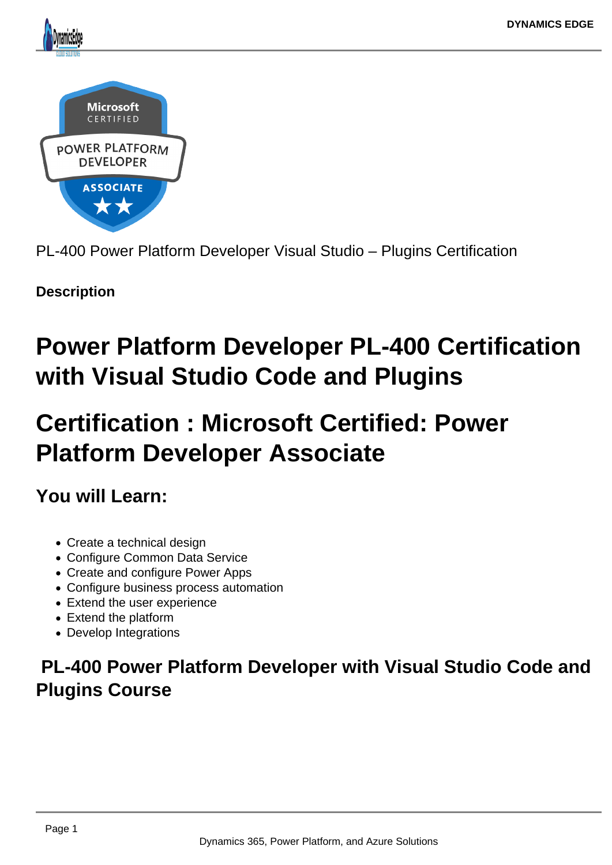

PL-400 Power Platform Developer Visual Studio – Plugins Certification

**Description**

# **Power Platform Developer PL-400 Certification with Visual Studio Code and Plugins**

# **Certification : Microsoft Certified: Power Platform Developer Associate**

**You will Learn:**

- Create a technical design
- Configure Common Data Service
- Create and configure Power Apps
- Configure business process automation
- Extend the user experience
- Extend the platform
- Develop Integrations

# **PL-400 Power Platform Developer with Visual Studio Code and Plugins Course**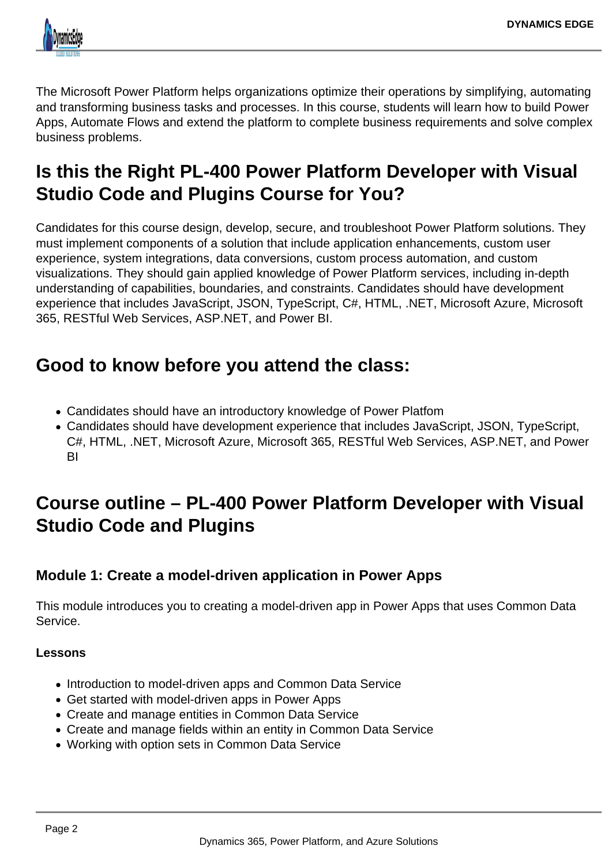

The Microsoft Power Platform helps organizations optimize their operations by simplifying, automating and transforming business tasks and processes. In this course, students will learn how to build Power Apps, Automate Flows and extend the platform to complete business requirements and solve complex business problems.

# **Is this the Right PL-400 Power Platform Developer with Visual Studio Code and Plugins Course for You?**

Candidates for this course design, develop, secure, and troubleshoot Power Platform solutions. They must implement components of a solution that include application enhancements, custom user experience, system integrations, data conversions, custom process automation, and custom visualizations. They should gain applied knowledge of Power Platform services, including in-depth understanding of capabilities, boundaries, and constraints. Candidates should have development experience that includes JavaScript, JSON, TypeScript, C#, HTML, .NET, Microsoft Azure, Microsoft 365, RESTful Web Services, ASP.NET, and Power BI.

# **Good to know before you attend the class:**

- Candidates should have an introductory knowledge of Power Platfom
- Candidates should have development experience that includes JavaScript, JSON, TypeScript, C#, HTML, .NET, Microsoft Azure, Microsoft 365, RESTful Web Services, ASP.NET, and Power BI

# **Course outline – PL-400 Power Platform Developer with Visual Studio Code and Plugins**

# **Module 1: Create a model-driven application in Power Apps**

This module introduces you to creating a model-driven app in Power Apps that uses Common Data Service.

## **Lessons**

- Introduction to model-driven apps and Common Data Service
- Get started with model-driven apps in Power Apps
- Create and manage entities in Common Data Service
- Create and manage fields within an entity in Common Data Service
- Working with option sets in Common Data Service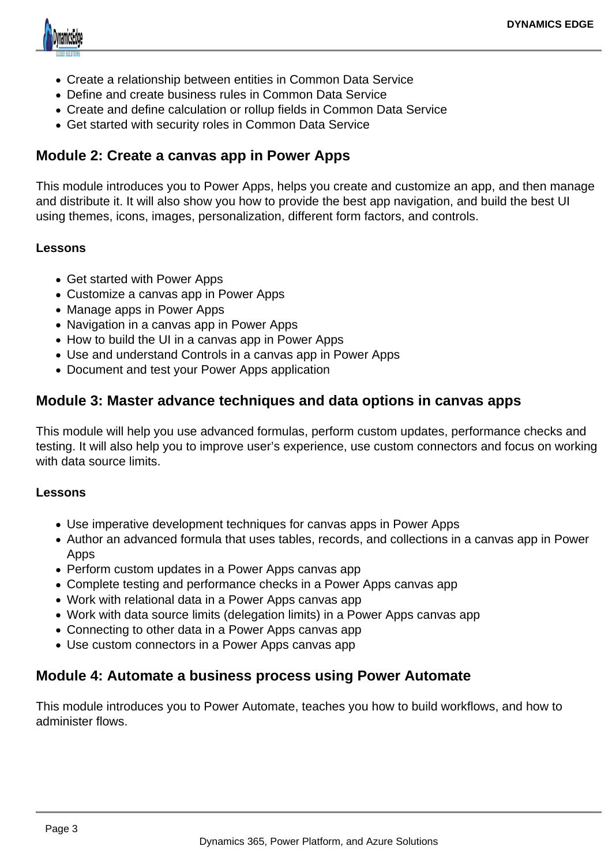

- Create a relationship between entities in Common Data Service
- Define and create business rules in Common Data Service
- Create and define calculation or rollup fields in Common Data Service
- Get started with security roles in Common Data Service

# **Module 2: Create a canvas app in Power Apps**

This module introduces you to Power Apps, helps you create and customize an app, and then manage and distribute it. It will also show you how to provide the best app navigation, and build the best UI using themes, icons, images, personalization, different form factors, and controls.

### **Lessons**

- Get started with Power Apps
- Customize a canvas app in Power Apps
- Manage apps in Power Apps
- Navigation in a canvas app in Power Apps
- How to build the UI in a canvas app in Power Apps
- Use and understand Controls in a canvas app in Power Apps
- Document and test your Power Apps application

# **Module 3: Master advance techniques and data options in canvas apps**

This module will help you use advanced formulas, perform custom updates, performance checks and testing. It will also help you to improve user's experience, use custom connectors and focus on working with data source limits.

#### **Lessons**

- Use imperative development techniques for canvas apps in Power Apps
- Author an advanced formula that uses tables, records, and collections in a canvas app in Power Apps
- Perform custom updates in a Power Apps canvas app
- Complete testing and performance checks in a Power Apps canvas app
- Work with relational data in a Power Apps canvas app
- Work with data source limits (delegation limits) in a Power Apps canvas app
- Connecting to other data in a Power Apps canvas app
- Use custom connectors in a Power Apps canvas app

## **Module 4: Automate a business process using Power Automate**

This module introduces you to Power Automate, teaches you how to build workflows, and how to administer flows.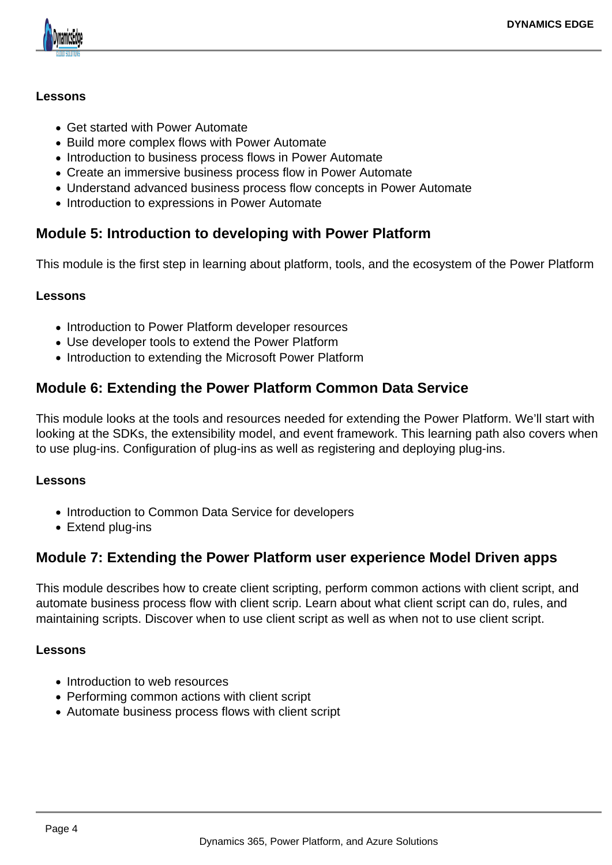

### **Lessons**

- Get started with Power Automate
- Build more complex flows with Power Automate
- Introduction to business process flows in Power Automate
- Create an immersive business process flow in Power Automate
- Understand advanced business process flow concepts in Power Automate
- Introduction to expressions in Power Automate

# **Module 5: Introduction to developing with Power Platform**

This module is the first step in learning about platform, tools, and the ecosystem of the Power Platform

#### **Lessons**

- Introduction to Power Platform developer resources
- Use developer tools to extend the Power Platform
- Introduction to extending the Microsoft Power Platform

# **Module 6: Extending the Power Platform Common Data Service**

This module looks at the tools and resources needed for extending the Power Platform. We'll start with looking at the SDKs, the extensibility model, and event framework. This learning path also covers when to use plug-ins. Configuration of plug-ins as well as registering and deploying plug-ins.

#### **Lessons**

- Introduction to Common Data Service for developers
- Extend plug-ins

# **Module 7: Extending the Power Platform user experience Model Driven apps**

This module describes how to create client scripting, perform common actions with client script, and automate business process flow with client scrip. Learn about what client script can do, rules, and maintaining scripts. Discover when to use client script as well as when not to use client script.

#### **Lessons**

- Introduction to web resources
- Performing common actions with client script
- Automate business process flows with client script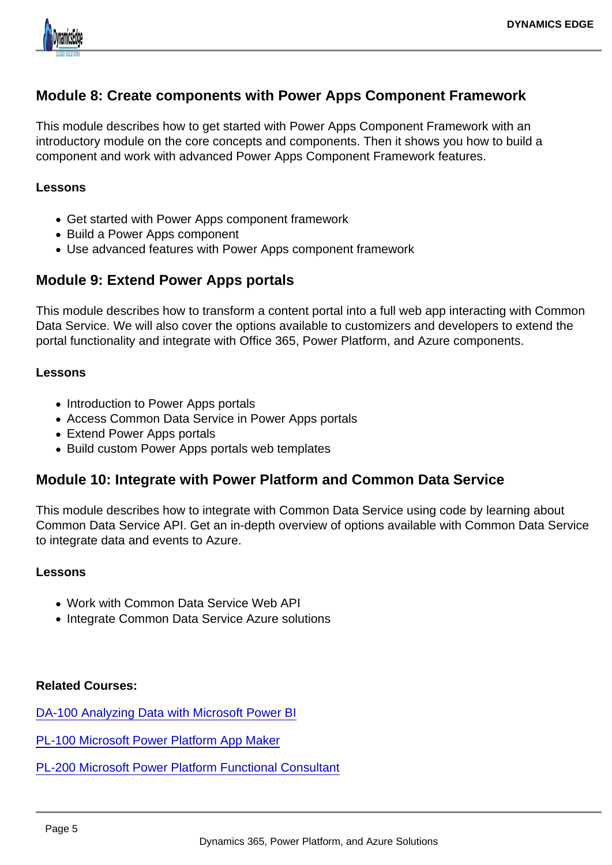# Module 8: Create components with Power Apps Component Framework

This module describes how to get started with Power Apps Component Framework with an introductory module on the core concepts and components. Then it shows you how to build a component and work with advanced Power Apps Component Framework features.

#### Lessons

- Get started with Power Apps component framework
- Build a Power Apps component
- Use advanced features with Power Apps component framework

## Module 9: Extend Power Apps portals

This module describes how to transform a content portal into a full web app interacting with Common Data Service. We will also cover the options available to customizers and developers to extend the portal functionality and integrate with Office 365, Power Platform, and Azure components.

#### Lessons

- Introduction to Power Apps portals
- Access Common Data Service in Power Apps portals
- Extend Power Apps portals
- Build custom Power Apps portals web templates

## Module 10: Integrate with Power Platform and Common Data Service

This module describes how to integrate with Common Data Service using code by learning about Common Data Service API. Get an in-depth overview of options available with Common Data Service to integrate data and events to Azure.

#### Lessons

- Work with Common Data Service Web API
- Integrate Common Data Service Azure solutions

Related Courses:

[DA-100 Analyzing Data with Microsoft Power BI](https://www.dynamicsedge.com/product/da-100-analyzing-data-with-power-bi/)

- [PL-100 Microsoft Power Platform App Maker](https://www.dynamicsedge.com/product/citizen-developer-power-platform-app-maker-for-government-analysts-pl-100/)
- [PL-200 Microsoft Power Platform Functional Consultant](https://www.dynamicsedge.com/product/pl-200-power-platform-developer-and-consultant/)